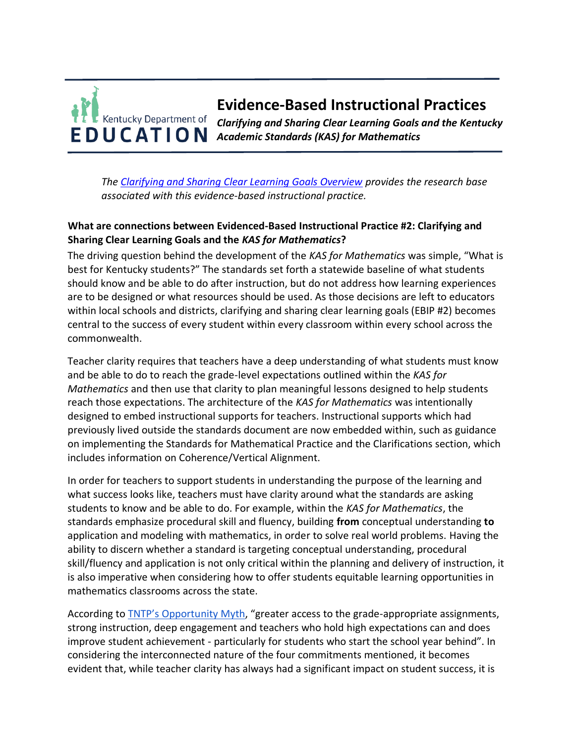# **Evidence-Based Instructional Practices**  Kentucky Department of *Clarifying and Sharing Clear Learning Goals and the Kentucky*  **EDUCATION** Academic Standards (KAS) for Mathematics

*The [Clarifying and Sharing Clear Learning Goals Overview](https://education.ky.gov/curriculum/standards/kyacadstand/Documents/EBIP_2_Clarifying_and_Sharing_Clear_Learning_Goals.pdf) provides the research base associated with this evidence-based instructional practice.*

## **What are connections between Evidenced-Based Instructional Practice #2: Clarifying and Sharing Clear Learning Goals and the** *KAS for Mathematics***?**

The driving question behind the development of the *KAS for Mathematics* was simple, "What is best for Kentucky students?" The standards set forth a statewide baseline of what students should know and be able to do after instruction, but do not address how learning experiences are to be designed or what resources should be used. As those decisions are left to educators within local schools and districts, clarifying and sharing clear learning goals (EBIP #2) becomes central to the success of every student within every classroom within every school across the commonwealth.

Teacher clarity requires that teachers have a deep understanding of what students must know and be able to do to reach the grade-level expectations outlined within the *KAS for Mathematics* and then use that clarity to plan meaningful lessons designed to help students reach those expectations. The architecture of the *KAS for Mathematics* was intentionally designed to embed instructional supports for teachers. Instructional supports which had previously lived outside the standards document are now embedded within, such as guidance on implementing the Standards for Mathematical Practice and the Clarifications section, which includes information on Coherence/Vertical Alignment.

In order for teachers to support students in understanding the purpose of the learning and what success looks like, teachers must have clarity around what the standards are asking students to know and be able to do. For example, within the *KAS for Mathematics*, the standards emphasize procedural skill and fluency, building **from** conceptual understanding **to**  application and modeling with mathematics, in order to solve real world problems. Having the ability to discern whether a standard is targeting conceptual understanding, procedural skill/fluency and application is not only critical within the planning and delivery of instruction, it is also imperative when considering how to offer students equitable learning opportunities in mathematics classrooms across the state.

According to **[TNTP's Opportu](https://opportunitymyth.tntp.org/)nity Myth**, "greater access to the grade-appropriate assignments, strong instruction, deep engagement and teachers who hold high expectations can and does improve student achievement - particularly for students who start the school year behind". In considering the interconnected nature of the four commitments mentioned, it becomes evident that, while teacher clarity has always had a significant impact on student success, it is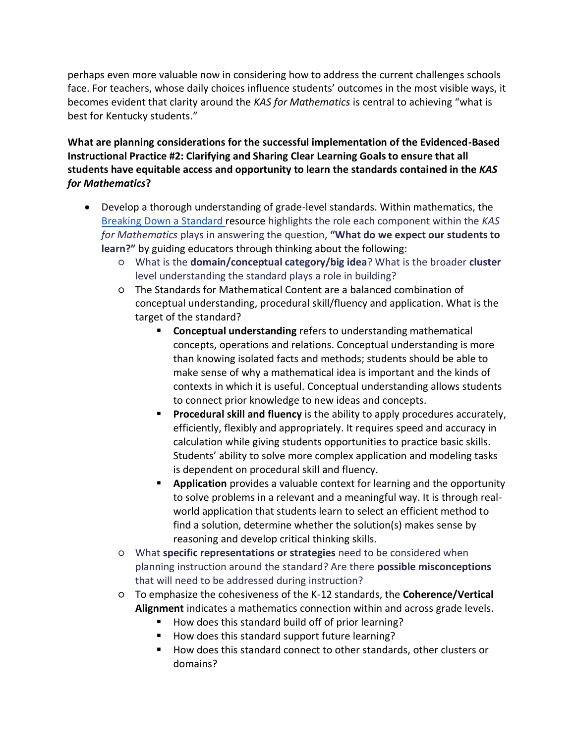perhaps even more valuable now in considering how to address the current challenges schools face. For teachers, whose daily choices influence students' outcomes in the most visible ways, it becomes evident that clarity around the *KAS for Mathematics* is central to achieving "what is best for Kentucky students."

**What are planning considerations for the successful implementation of the Evidenced-Based Instructional Practice #2: Clarifying and Sharing Clear Learning Goals to ensure that all students have equitable access and opportunity to learn the standards contained in the** *KAS for Mathematics***?**

- Develop a thorough understanding of grade-level standards. Within mathematics, the [Breaking Down a Standard r](https://kystandards.org/standards-resources/mathematics-resources/breaking-down-a-mathematics-standard/)esource highlights the role each component within the *KAS for Mathematics* plays in answering the question, **"What do we expect our students to learn?"** by guiding educators through thinking about the following:
	- What is the **domain/conceptual category/big idea**? What is the broader **cluster** level understanding the standard plays a role in building?
	- The Standards for Mathematical Content are a balanced combination of conceptual understanding, procedural skill/fluency and application. What is the target of the standard?
		- **Conceptual understanding** refers to understanding mathematical concepts, operations and relations. Conceptual understanding is more than knowing isolated facts and methods; students should be able to make sense of why a mathematical idea is important and the kinds of contexts in which it is useful. Conceptual understanding allows students to connect prior knowledge to new ideas and concepts.
		- **Procedural skill and fluency** is the ability to apply procedures accurately, efficiently, flexibly and appropriately. It requires speed and accuracy in calculation while giving students opportunities to practice basic skills. Students' ability to solve more complex application and modeling tasks is dependent on procedural skill and fluency.
		- **Application** provides a valuable context for learning and the opportunity to solve problems in a relevant and a meaningful way. It is through realworld application that students learn to select an efficient method to find a solution, determine whether the solution(s) makes sense by reasoning and develop critical thinking skills.
	- What **specific representations or strategies** need to be considered when planning instruction around the standard? Are there **possible misconceptions**  that will need to be addressed during instruction?
	- To emphasize the cohesiveness of the K-12 standards, the **Coherence/Vertical Alignment** indicates a mathematics connection within and across grade levels.
		- How does this standard build off of prior learning?
		- How does this standard support future learning?
		- How does this standard connect to other standards, other clusters or domains?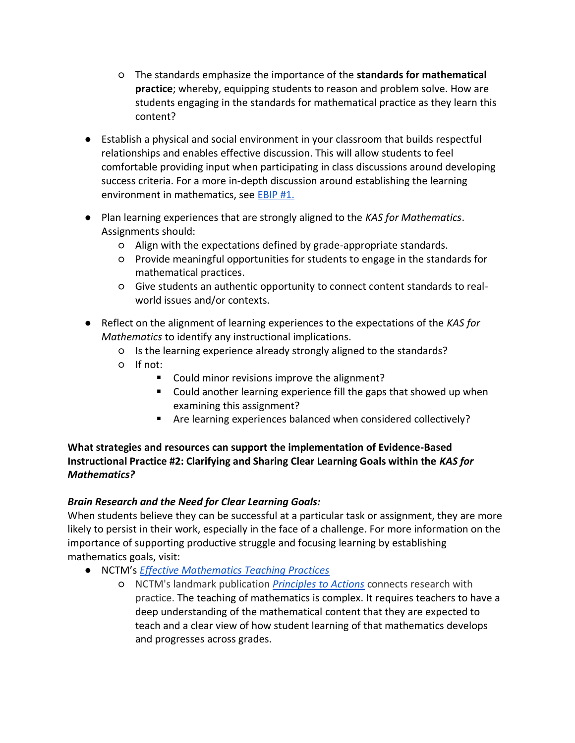- The standards emphasize the importance of the **standards for mathematical practice**; whereby, equipping students to reason and problem solve. How are students engaging in the standards for mathematical practice as they learn this content?
- Establish a physical and social environment in your classroom that builds respectful relationships and enables effective discussion. This will allow students to feel comfortable providing input when participating in class discussions around developing success criteria. For a more in-depth discussion around establishing the learning environment in mathematics, see [EBIP #1.](https://education.ky.gov/curriculum/standards/kyacadstand/Documents/EBIP_1_Mathematics.pdf)
- Plan learning experiences that are strongly aligned to the *KAS for Mathematics*. Assignments should:
	- Align with the expectations defined by grade-appropriate standards.
	- Provide meaningful opportunities for students to engage in the standards for mathematical practices.
	- Give students an authentic opportunity to connect content standards to realworld issues and/or contexts.
- Reflect on the alignment of learning experiences to the expectations of the *KAS for Mathematics* to identify any instructional implications.
	- Is the learning experience already strongly aligned to the standards?
	- If not:
		- Could minor revisions improve the alignment?
		- Could another learning experience fill the gaps that showed up when examining this assignment?
		- Are learning experiences balanced when considered collectively?

## **What strategies and resources can support the implementation of Evidence-Based Instructional Practice #2: Clarifying and Sharing Clear Learning Goals within the** *KAS for Mathematics?*

# *Brain Research and the Need for Clear Learning Goals:*

When students believe they can be successful at a particular task or assignment, they are more likely to persist in their work, especially in the face of a challenge. For more information on the importance of supporting productive struggle and focusing learning by establishing mathematics goals, visit:

- NCTM's *[Effective Mathematics Teaching Practices](https://education.ky.gov/curriculum/standards/kyacadstand/Documents/Effective_Mathematics_Teaching_Practices_NCTM.docx)*
	- NCTM's landmark publication *[Principles to Actions](http://www.nctm.org/store/Products/Principles-to-Actions--Ensuring-Mathematical-Success-for-All/)* connects research with practice. The teaching of mathematics is complex. It requires teachers to have a deep understanding of the mathematical content that they are expected to teach and a clear view of how student learning of that mathematics develops and progresses across grades.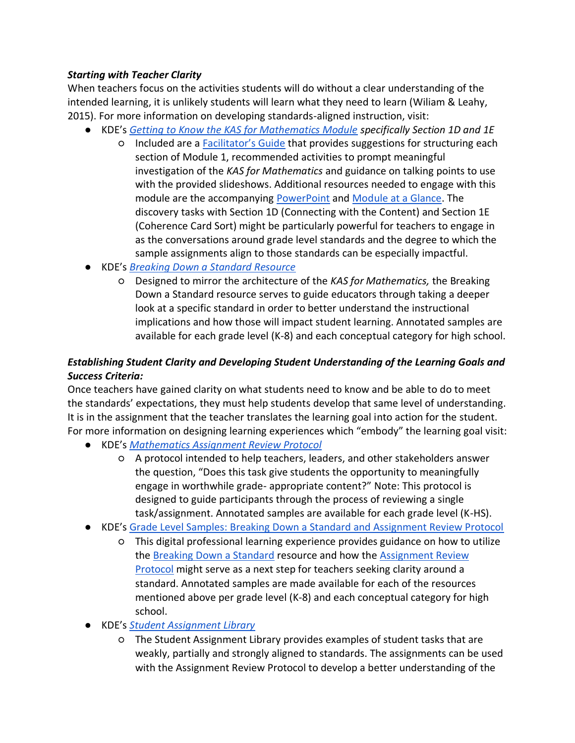#### *Starting with Teacher Clarity*

When teachers focus on the activities students will do without a clear understanding of the intended learning, it is unlikely students will learn what they need to learn (Wiliam & Leahy, 2015). For more information on developing standards-aligned instruction, visit:

- KDE's *[Getting to Know the KAS for Mathematics Module](https://kystandards.org/standards-resources/mathematics-resources/math-pl-modules/) specifically Section 1D and 1E*
	- Included are a [Facilitator's Guide](https://education.ky.gov/curriculum/standards/kyacadstand/Documents/Facilitators_Guide_Getting_to_Know_the_KAS_for_Mathematics.pdf) that provides suggestions for structuring each section of Module 1, recommended activities to prompt meaningful investigation of the *KAS for Mathematics* and guidance on talking points to use with the provided slideshows. Additional resources needed to engage with this module are the accompanying [PowerPoint](https://kystandards.org/wp-content/uploads/2019/06/Module_1_Getting_to_Know_the_Kentucky_Academic_Standards_for_Mathematics.pptx) and [Module at a Glance.](https://kystandards.org/wp-content/uploads/2019/04/Module_1_At_a_Glance_Mathematics.pdf) The discovery tasks with Section 1D (Connecting with the Content) and Section 1E (Coherence Card Sort) might be particularly powerful for teachers to engage in as the conversations around grade level standards and the degree to which the sample assignments align to those standards can be especially impactful.
- KDE's *[Breaking Down a Standard Resource](https://kystandards.org/standards-resources/mathematics-resources/breaking-down-a-mathematics-standard/)*
	- Designed to mirror the architecture of the *KAS for Mathematics,* the Breaking Down a Standard resource serves to guide educators through taking a deeper look at a specific standard in order to better understand the instructional implications and how those will impact student learning. Annotated samples are available for each grade level (K-8) and each conceptual category for high school.

# *Establishing Student Clarity and Developing Student Understanding of the Learning Goals and Success Criteria:*

Once teachers have gained clarity on what students need to know and be able to do to meet the standards' expectations, they must help students develop that same level of understanding. It is in the assignment that the teacher translates the learning goal into action for the student. For more information on designing learning experiences which "embody" the learning goal visit:

- KDE's *[Mathematics Assignment Review Protocol](https://kystandards.org/standards-resources/mathematics-resources/mathematics-assignment-review-protocol/)*
	- A protocol intended to help teachers, leaders, and other stakeholders answer the question, "Does this task give students the opportunity to meaningfully engage in worthwhile grade- appropriate content?" Note: This protocol is designed to guide participants through the process of reviewing a single task/assignment. Annotated samples are available for each grade level (K-HS).
- KDE's [Grade Level Samples: Breaking Down a Standard and Assignment Review Protocol](https://kystandards.org/standards-resources/mathematics-resources/math-pl-modules/gls_uts_arp/) 
	- This digital professional learning experience provides guidance on how to utilize the [Breaking Down a Standard](https://kystandards.org/standards-resources/mathematics-resources/breaking-down-a-mathematics-standard/) resource and how the [Assignment Review](https://kystandards.org/standards-resources/mathematics-resources/mathematics-assignment-review-protocol/)  [Protocol](https://kystandards.org/standards-resources/mathematics-resources/mathematics-assignment-review-protocol/) might serve as a next step for teachers seeking clarity around a standard. Annotated samples are made available for each of the resources mentioned above per grade level (K-8) and each conceptual category for high school.
- KDE's *[Student Assignment Library](https://kystandards.org/standards-resources/sal/)*
	- The Student Assignment Library provides examples of student tasks that are weakly, partially and strongly aligned to standards. The assignments can be used with the Assignment Review Protocol to develop a better understanding of the